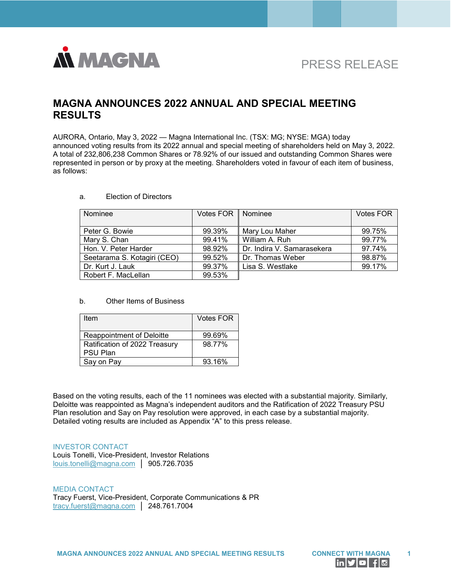

# PRESS RELEASE

## **MAGNA ANNOUNCES 2022 ANNUAL AND SPECIAL MEETING RESULTS**

AURORA, Ontario, May 3, 2022 — Magna International Inc. (TSX: MG; NYSE: MGA) today announced voting results from its 2022 annual and special meeting of shareholders held on May 3, 2022. A total of 232,806,238 Common Shares or 78.92% of our issued and outstanding Common Shares were represented in person or by proxy at the meeting. Shareholders voted in favour of each item of business, as follows:

| Nominee                     | Votes FOR   Nominee |                            | <b>Votes FOR</b> |
|-----------------------------|---------------------|----------------------------|------------------|
|                             |                     |                            |                  |
| Peter G. Bowie              | 99.39%              | Mary Lou Maher             | 99.75%           |
| Mary S. Chan                | 99.41%              | William A. Ruh             | 99.77%           |
| Hon, V. Peter Harder        | 98.92%              | Dr. Indira V. Samarasekera | 97.74%           |
| Seetarama S. Kotagiri (CEO) | 99.52%              | Dr. Thomas Weber           | 98.87%           |
| Dr. Kurt J. Lauk            | 99.37%              | Lisa S. Westlake           | 99.17%           |
| Robert F. MacLellan         | 99.53%              |                            |                  |

#### a. Election of Directors

#### b. Other Items of Business

| Item                          | Votes FOR |
|-------------------------------|-----------|
|                               |           |
| Reappointment of Deloitte     | 99.69%    |
| Ratification of 2022 Treasury | 98.77%    |
| PSU Plan                      |           |
| Say on Pay                    | 93.16%    |

Based on the voting results, each of the 11 nominees was elected with a substantial majority. Similarly, Deloitte was reappointed as Magna's independent auditors and the Ratification of 2022 Treasury PSU Plan resolution and Say on Pay resolution were approved, in each case by a substantial majority. Detailed voting results are included as Appendix "A" to this press release.

#### INVESTOR CONTACT

Louis Tonelli, Vice-President, Investor Relations [louis.tonelli@magna.com](mailto:louis.tonelli@magna.com) │ 905.726.7035

MEDIA CONTACT Tracy Fuerst, Vice-President, Corporate Communications & PR [tracy.fuerst@magna.com](mailto:tracy.fuerst@magna.com) │ 248.761.7004

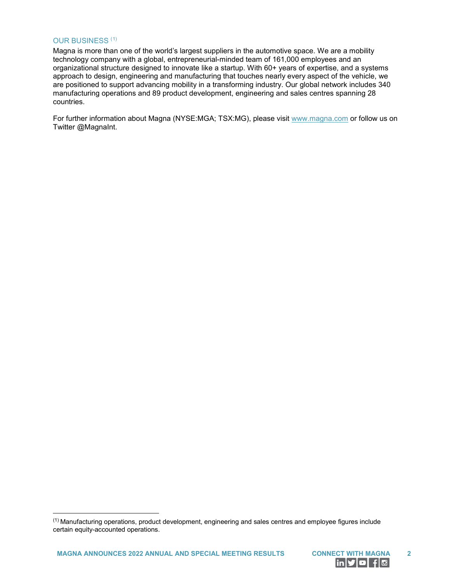#### OUR BUSINESS ([1\)](#page-1-0)

 $\overline{a}$ 

Magna is more than one of the world's largest suppliers in the automotive space. We are a mobility technology company with a global, entrepreneurial-minded team of 161,000 employees and an organizational structure designed to innovate like a startup. With 60+ years of expertise, and a systems approach to design, engineering and manufacturing that touches nearly every aspect of the vehicle, we are positioned to support advancing mobility in a transforming industry. Our global network includes 340 manufacturing operations and 89 product development, engineering and sales centres spanning 28 countries.

For further information about Magna (NYSE:MGA; TSX:MG), please visit [www.magna.com](https://www.globenewswire.com/Tracker?data=TEC1Z8Xl8W72ZcnozI-Mo-Pu67sXKHu_8R9W0_2gRcAiCrTcc7Mt7zwr1pwhtugu71d-wodAEIdPLEcDGSRqoA==) or follow us on Twitter @MagnaInt.



<span id="page-1-0"></span><sup>(1)</sup> Manufacturing operations, product development, engineering and sales centres and employee figures include certain equity-accounted operations.